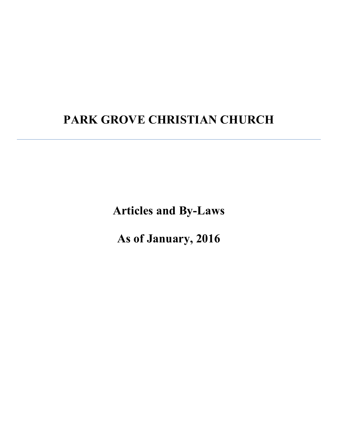# **PARK GROVE CHRISTIAN CHURCH**

**Articles and By-Laws**

**As of January, 2016**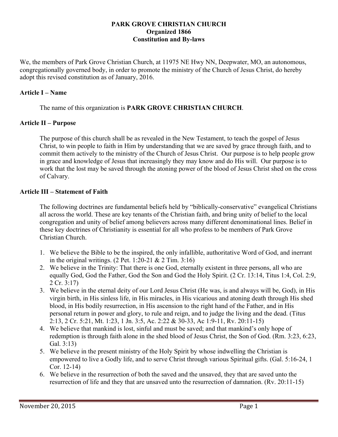#### **PARK GROVE CHRISTIAN CHURCH Organized 1866 Constitution and By-laws**

We, the members of Park Grove Christian Church, at 11975 NE Hwy NN, Deepwater, MO, an autonomous, congregationally governed body, in order to promote the ministry of the Church of Jesus Christ, do hereby adopt this revised constitution as of January, 2016.

# **Article I – Name**

The name of this organization is **PARK GROVE CHRISTIAN CHURCH**.

#### **Article II – Purpose**

The purpose of this church shall be as revealed in the New Testament, to teach the gospel of Jesus Christ, to win people to faith in Him by understanding that we are saved by grace through faith, and to commit them actively to the ministry of the Church of Jesus Christ. Our purpose is to help people grow in grace and knowledge of Jesus that increasingly they may know and do His will. Our purpose is to work that the lost may be saved through the atoning power of the blood of Jesus Christ shed on the cross of Calvary.

#### **Article III – Statement of Faith**

The following doctrines are fundamental beliefs held by "biblically-conservative" evangelical Christians all across the world. These are key tenants of the Christian faith, and bring unity of belief to the local congregation and unity of belief among believers across many different denominational lines. Belief in these key doctrines of Christianity is essential for all who profess to be members of Park Grove Christian Church.

- 1. We believe the Bible to be the inspired, the only infallible, authoritative Word of God, and inerrant in the original writings.  $(2$  Pet. 1:20-21 & 2 Tim. 3:16)
- 2. We believe in the Trinity: That there is one God, eternally existent in three persons, all who are equally God, God the Father, God the Son and God the Holy Spirit. (2 Cr. 13:14, Titus 1:4, Col. 2:9, 2 Cr. 3:17)
- 3. We believe in the eternal deity of our Lord Jesus Christ (He was, is and always will be, God), in His virgin birth, in His sinless life, in His miracles, in His vicarious and atoning death through His shed blood, in His bodily resurrection, in His ascension to the right hand of the Father, and in His personal return in power and glory, to rule and reign, and to judge the living and the dead. (Titus 2:13, 2 Cr. 5:21, Mt. 1:23, 1 Jn. 3:5, Ac. 2:22 & 30-33, Ac 1:9-11, Rv. 20:11-15)
- 4. We believe that mankind is lost, sinful and must be saved; and that mankind's only hope of redemption is through faith alone in the shed blood of Jesus Christ, the Son of God. (Rm. 3:23, 6:23, Gal. 3:13)
- 5. We believe in the present ministry of the Holy Spirit by whose indwelling the Christian is empowered to live a Godly life, and to serve Christ through various Spiritual gifts. (Gal. 5:16-24, 1 Cor. 12-14)
- 6. We believe in the resurrection of both the saved and the unsaved, they that are saved unto the resurrection of life and they that are unsaved unto the resurrection of damnation. (Rv. 20:11-15)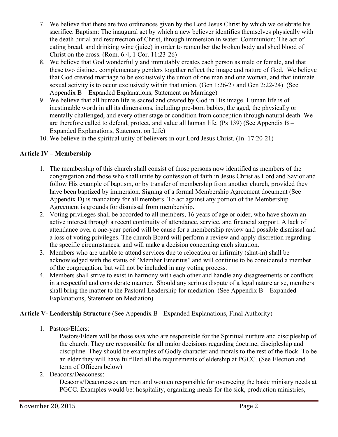- 7. We believe that there are two ordinances given by the Lord Jesus Christ by which we celebrate his sacrifice. Baptism: The inaugural act by which a new believer identifies themselves physically with the death burial and resurrection of Christ, through immersion in water. Communion: The act of eating bread, and drinking wine (juice) in order to remember the broken body and shed blood of Christ on the cross. (Rom. 6:4, 1 Cor. 11:23-26)
- 8. We believe that God wonderfully and immutably creates each person as male or female, and that these two distinct, complementary genders together reflect the image and nature of God. We believe that God created marriage to be exclusively the union of one man and one woman, and that intimate sexual activity is to occur exclusively within that union. (Gen 1:26-27 and Gen 2:22-24) (See Appendix B – Expanded Explanations, Statement on Marriage)
- 9. We believe that all human life is sacred and created by God in His image. Human life is of inestimable worth in all its dimensions, including pre-born babies, the aged, the physically or mentally challenged, and every other stage or condition from conception through natural death. We are therefore called to defend, protect, and value all human life. (Ps 139) (See Appendix B – Expanded Explanations, Statement on Life)
- 10. We believe in the spiritual unity of believers in our Lord Jesus Christ. (Jn. 17:20-21)

# **Article IV – Membership**

- 1. The membership of this church shall consist of those persons now identified as members of the congregation and those who shall unite by confession of faith in Jesus Christ as Lord and Savior and follow His example of baptism, or by transfer of membership from another church, provided they have been baptized by immersion. Signing of a formal Membership Agreement document (See Appendix D) is mandatory for all members. To act against any portion of the Membership Agreement is grounds for dismissal from membership.
- 2. Voting privileges shall be accorded to all members, 16 years of age or older, who have shown an active interest through a recent continuity of attendance, service, and financial support. A lack of attendance over a one-year period will be cause for a membership review and possible dismissal and a loss of voting privileges. The church Board will perform a review and apply discretion regarding the specific circumstances, and will make a decision concerning each situation.
- 3. Members who are unable to attend services due to relocation or infirmity (shut-in) shall be acknowledged with the status of "Member Emeritus" and will continue to be considered a member of the congregation, but will not be included in any voting process.
- 4. Members shall strive to exist in harmony with each other and handle any disagreements or conflicts in a respectful and considerate manner. Should any serious dispute of a legal nature arise, members shall bring the matter to the Pastoral Leadership for mediation. (See Appendix B – Expanded Explanations, Statement on Mediation)

# **Article V- Leadership Structure** (See Appendix B - Expanded Explanations, Final Authority)

1. Pastors/Elders:

Pastors/Elders will be those *men* who are responsible for the Spiritual nurture and discipleship of the church. They are responsible for all major decisions regarding doctrine, discipleship and discipline. They should be examples of Godly character and morals to the rest of the flock. To be an elder they will have fulfilled all the requirements of eldership at PGCC. (See Election and term of Officers below)

2. Deacons/Deaconess:

Deacons/Deaconesses are men and women responsible for overseeing the basic ministry needs at PGCC. Examples would be: hospitality, organizing meals for the sick, production ministries,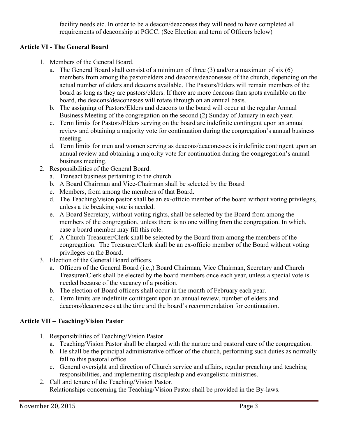facility needs etc. In order to be a deacon/deaconess they will need to have completed all requirements of deaconship at PGCC. (See Election and term of Officers below)

# **Article VI - The General Board**

- 1. Members of the General Board.
	- a. The General Board shall consist of a minimum of three (3) and/or a maximum of six (6) members from among the pastor/elders and deacons/deaconesses of the church, depending on the actual number of elders and deacons available. The Pastors/Elders will remain members of the board as long as they are pastors/elders. If there are more deacons than spots available on the board, the deacons/deaconesses will rotate through on an annual basis.
	- b. The assigning of Pastors/Elders and deacons to the board will occur at the regular Annual Business Meeting of the congregation on the second (2) Sunday of January in each year.
	- c. Term limits for Pastors**/**Elders serving on the board are indefinite contingent upon an annual review and obtaining a majority vote for continuation during the congregation's annual business meeting.
	- d. Term limits for men and women serving as deacons/deaconesses is indefinite contingent upon an annual review and obtaining a majority vote for continuation during the congregation's annual business meeting.
- 2. Responsibilities of the General Board.
	- a. Transact business pertaining to the church.
	- b. A Board Chairman and Vice-Chairman shall be selected by the Board
	- c. Members, from among the members of that Board.
	- d. The Teaching/vision pastor shall be an ex-officio member of the board without voting privileges, unless a tie breaking vote is needed.
	- e. A Board Secretary, without voting rights, shall be selected by the Board from among the members of the congregation, unless there is no one willing from the congregation. In which, case a board member may fill this role.
	- f. A Church Treasurer/Clerk shall be selected by the Board from among the members of the congregation. The Treasurer/Clerk shall be an ex-officio member of the Board without voting privileges on the Board.
- 3. Election of the General Board officers.
	- a. Officers of the General Board (i.e.,) Board Chairman, Vice Chairman, Secretary and Church Treasurer/Clerk shall be elected by the board members once each year, unless a special vote is needed because of the vacancy of a position.
	- b. The election of Board officers shall occur in the month of February each year.
	- c. Term limits are indefinite contingent upon an annual review, number of elders and deacons/deaconesses at the time and the board's recommendation for continuation.

# **Article VII – Teaching/Vision Pastor**

- 1. Responsibilities of Teaching/Vision Pastor
	- a. Teaching/Vision Pastor shall be charged with the nurture and pastoral care of the congregation.
	- b. He shall be the principal administrative officer of the church, performing such duties as normally fall to this pastoral office.
	- c. General oversight and direction of Church service and affairs, regular preaching and teaching responsibilities, and implementing discipleship and evangelistic ministries.
- 2. Call and tenure of the Teaching/Vision Pastor. Relationships concerning the Teaching/Vision Pastor shall be provided in the By-laws.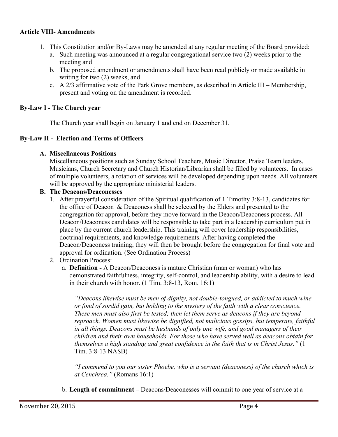#### **Article VIII- Amendments**

- 1. This Constitution and/or By-Laws may be amended at any regular meeting of the Board provided:
	- a. Such meeting was announced at a regular congregational service two (2) weeks prior to the meeting and
	- b. The proposed amendment or amendments shall have been read publicly or made available in writing for two (2) weeks, and
	- c. A 2/3 affirmative vote of the Park Grove members, as described in Article III Membership, present and voting on the amendment is recorded.

#### **By-Law I - The Church year**

The Church year shall begin on January 1 and end on December 31.

#### **By-Law II - Election and Terms of Officers**

#### **A. Miscellaneous Positions**

Miscellaneous positions such as Sunday School Teachers, Music Director, Praise Team leaders, Musicians, Church Secretary and Church Historian/Librarian shall be filled by volunteers. In cases of multiple volunteers, a rotation of services will be developed depending upon needs. All volunteers will be approved by the appropriate ministerial leaders.

#### **B. The Deacons/Deaconesses**

- 1. After prayerful consideration of the Spiritual qualification of 1 Timothy 3:8-13, candidates for the office of Deacon & Deaconess shall be selected by the Elders and presented to the congregation for approval, before they move forward in the Deacon/Deaconess process. All Deacon/Deaconess candidates will be responsible to take part in a leadership curriculum put in place by the current church leadership. This training will cover leadership responsibilities, doctrinal requirements, and knowledge requirements. After having completed the Deacon/Deaconess training, they will then be brought before the congregation for final vote and approval for ordination. (See Ordination Process)
- 2. Ordination Process:
	- a. **Definition -** A Deacon/Deaconess is mature Christian (man or woman) who has demonstrated faithfulness, integrity, self-control, and leadership ability, with a desire to lead in their church with honor. (1 Tim. 3:8-13, Rom. 16:1)

*"Deacons likewise must be men of dignity, not double-tongued, or addicted to much wine or fond of sordid gain, but holding to the mystery of the faith with a clear conscience. These men must also first be tested; then let them serve as deacons if they are beyond reproach. Women must likewise be dignified, not malicious gossips, but temperate, faithful in all things. Deacons must be husbands of only one wife, and good managers of their children and their own households. For those who have served well as deacons obtain for themselves a high standing and great confidence in the faith that is in Christ Jesus."* (1 Tim. 3:8-13 NASB)

*"I commend to you our sister Phoebe, who is a servant (deaconess) of the church which is at Cenchrea."* (Romans 16:1)

b. **Length of commitment –** Deacons/Deaconesses will commit to one year of service at a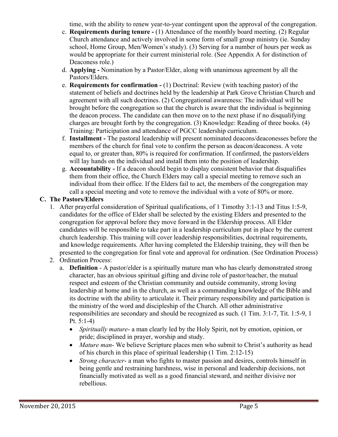time, with the ability to renew year-to-year contingent upon the approval of the congregation.

- c. **Requirements during tenure -** (1) Attendance of the monthly board meeting. (2) Regular Church attendance and actively involved in some form of small group ministry (ie. Sunday school, Home Group, Men/Women's study). (3) Serving for a number of hours per week as would be appropriate for their current ministerial role. (See Appendix A for distinction of Deaconess role.)
- d. **Applying -** Nomination by a Pastor/Elder, along with unanimous agreement by all the Pastors/Elders.
- e. **Requirements for confirmation -** (1) Doctrinal: Review (with teaching pastor) of the statement of beliefs and doctrines held by the leadership at Park Grove Christian Church and agreement with all such doctrines. (2) Congregational awareness: The individual will be brought before the congregation so that the church is aware that the individual is beginning the deacon process. The candidate can then move on to the next phase if no disqualifying charges are brought forth by the congregation. (3) Knowledge: Reading of three books. (4) Training: Participation and attendance of PGCC leadership curriculum.
- f. **Installment -** The pastoral leadership will present nominated deacons/deaconesses before the members of the church for final vote to confirm the person as deacon/deaconess. A vote equal to, or greater than, 80% is required for confirmation. If confirmed, the pastors/elders will lay hands on the individual and install them into the position of leadership.
- g. **Accountability -** If a deacon should begin to display consistent behavior that disqualifies them from their office, the Church Elders may call a special meeting to remove such an individual from their office. If the Elders fail to act, the members of the congregation may call a special meeting and vote to remove the individual with a vote of 80% or more.

# **C. The Pastors/Elders**

- 1. After prayerful consideration of Spiritual qualifications, of 1 Timothy 3:1-13 and Titus 1:5-9, candidates for the office of Elder shall be selected by the existing Elders and presented to the congregation for approval before they move forward in the Eldership process. All Elder candidates will be responsible to take part in a leadership curriculum put in place by the current church leadership. This training will cover leadership responsibilities, doctrinal requirements, and knowledge requirements. After having completed the Eldership training, they will then be presented to the congregation for final vote and approval for ordination. (See Ordination Process)
- 2. Ordination Process:
	- a. **Definition** A pastor/elder is a spiritually mature man who has clearly demonstrated strong character, has an obvious spiritual gifting and divine role of pastor/teacher, the mutual respect and esteem of the Christian community and outside community, strong loving leadership at home and in the church, as well as a commanding knowledge of the Bible and its doctrine with the ability to articulate it. Their primary responsibility and participation is the ministry of the word and discipleship of the Church. All other administrative responsibilities are secondary and should be recognized as such. (1 Tim. 3:1-7, Tit. 1:5-9, 1 Pt. 5:1-4)
		- *Spiritually mature* a man clearly led by the Holy Spirit, not by emotion, opinion, or pride; disciplined in prayer, worship and study.
		- *Mature man* We believe Scripture places men who submit to Christ's authority as head of his church in this place of spiritual leadership (1 Tim. 2:12-15)
		- *Strong character* a man who fights to master passion and desires, controls himself in being gentle and restraining harshness, wise in personal and leadership decisions, not financially motivated as well as a good financial steward, and neither divisive nor rebellious.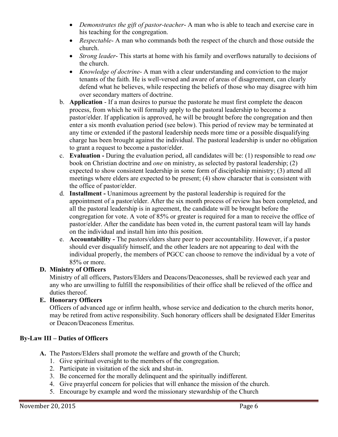- *Demonstrates the gift of pastor-teacher* A man who is able to teach and exercise care in his teaching for the congregation.
- *Respectable* A man who commands both the respect of the church and those outside the church.
- *Strong leader* This starts at home with his family and overflows naturally to decisions of the church.
- *Knowledge of doctrine* A man with a clear understanding and conviction to the major tenants of the faith. He is well-versed and aware of areas of disagreement, can clearly defend what he believes, while respecting the beliefs of those who may disagree with him over secondary matters of doctrine.
- b. **Application** If a man desires to pursue the pastorate he must first complete the deacon process, from which he will formally apply to the pastoral leadership to become a pastor/elder. If application is approved, he will be brought before the congregation and then enter a six month evaluation period (see below). This period of review may be terminated at any time or extended if the pastoral leadership needs more time or a possible disqualifying charge has been brought against the individual. The pastoral leadership is under no obligation to grant a request to become a pastor/elder.
- c. **Evaluation -** During the evaluation period, all candidates will be: (1) responsible to read *one* book on Christian doctrine and *one* on ministry, as selected by pastoral leadership; (2) expected to show consistent leadership in some form of discipleship ministry; (3) attend all meetings where elders are expected to be present; (4) show character that is consistent with the office of pastor/elder.
- d. **Installment -** Unanimous agreement by the pastoral leadership is required for the appointment of a pastor/elder. After the six month process of review has been completed, and all the pastoral leadership is in agreement, the candidate will be brought before the congregation for vote. A vote of 85% or greater is required for a man to receive the office of pastor/elder. After the candidate has been voted in, the current pastoral team will lay hands on the individual and install him into this position.
- e. **Accountability -** The pastors/elders share peer to peer accountability. However, if a pastor should ever disqualify himself, and the other leaders are not appearing to deal with the individual properly, the members of PGCC can choose to remove the individual by a vote of 85% or more.

# **D. Ministry of Officers**

Ministry of all officers, Pastors/Elders and Deacons/Deaconesses, shall be reviewed each year and any who are unwilling to fulfill the responsibilities of their office shall be relieved of the office and duties thereof.

# **E. Honorary Officers**

Officers of advanced age or infirm health, whose service and dedication to the church merits honor, may be retired from active responsibility. Such honorary officers shall be designated Elder Emeritus or Deacon/Deaconess Emeritus.

# **By-Law III – Duties of Officers**

- **A.** The Pastors/Elders shall promote the welfare and growth of the Church;
	- 1. Give spiritual oversight to the members of the congregation.
	- 2. Participate in visitation of the sick and shut-in.
	- 3. Be concerned for the morally delinquent and the spiritually indifferent.
	- 4. Give prayerful concern for policies that will enhance the mission of the church.
	- 5. Encourage by example and word the missionary stewardship of the Church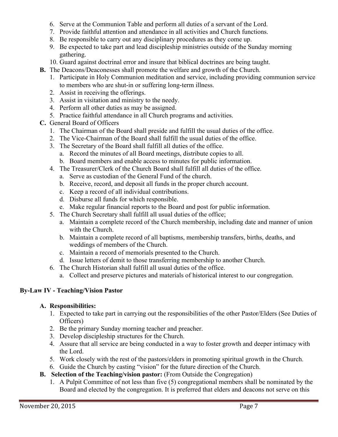- 6. Serve at the Communion Table and perform all duties of a servant of the Lord.
- 7. Provide faithful attention and attendance in all activities and Church functions.
- 8. Be responsible to carry out any disciplinary procedures as they come up.
- 9. Be expected to take part and lead discipleship ministries outside of the Sunday morning gathering.
- 10. Guard against doctrinal error and insure that biblical doctrines are being taught.
- **B.** The Deacons/Deaconesses shall promote the welfare and growth of the Church.
	- 1. Participate in Holy Communion meditation and service, including providing communion service to members who are shut-in or suffering long-term illness.
	- 2. Assist in receiving the offerings.
	- 3. Assist in visitation and ministry to the needy.
	- 4. Perform all other duties as may be assigned.
	- 5. Practice faithful attendance in all Church programs and activities.
- **C.** General Board of Officers
	- 1. The Chairman of the Board shall preside and fulfill the usual duties of the office.
	- 2. The Vice-Chairman of the Board shall fulfill the usual duties of the office.
	- 3. The Secretary of the Board shall fulfill all duties of the office.
		- a. Record the minutes of all Board meetings, distribute copies to all.
		- b. Board members and enable access to minutes for public information.
	- 4. The Treasurer/Clerk of the Church Board shall fulfill all duties of the office.
		- a. Serve as custodian of the General Fund of the church.
		- b. Receive, record, and deposit all funds in the proper church account.
		- c. Keep a record of all individual contributions.
		- d. Disburse all funds for which responsible.
		- e. Make regular financial reports to the Board and post for public information.
	- 5. The Church Secretary shall fulfill all usual duties of the office;
		- a. Maintain a complete record of the Church membership, including date and manner of union with the Church.
		- b. Maintain a complete record of all baptisms, membership transfers, births, deaths, and weddings of members of the Church.
		- c. Maintain a record of memorials presented to the Church.
		- d. Issue letters of demit to those transferring membership to another Church.
	- 6. The Church Historian shall fulfill all usual duties of the office.
		- a. Collect and preserve pictures and materials of historical interest to our congregation.

# **By-Law IV - Teaching/Vision Pastor**

# **A. Responsibilities:**

- 1. Expected to take part in carrying out the responsibilities of the other Pastor/Elders (See Duties of Officers)
- 2. Be the primary Sunday morning teacher and preacher.
- 3. Develop discipleship structures for the Church.
- 4. Assure that all service are being conducted in a way to foster growth and deeper intimacy with the Lord.
- 5. Work closely with the rest of the pastors/elders in promoting spiritual growth in the Church.
- 6. Guide the Church by casting "vision" for the future direction of the Church.
- **B. Selection of the Teaching/vision pastor:** (From Outside the Congregation)
	- 1. A Pulpit Committee of not less than five (5) congregational members shall be nominated by the Board and elected by the congregation. It is preferred that elders and deacons not serve on this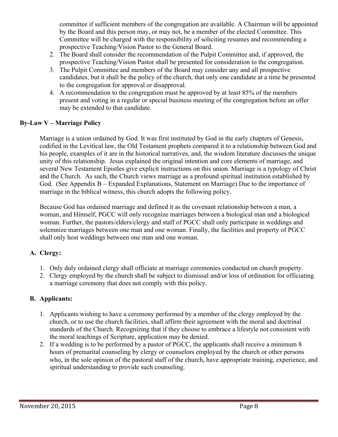committee if sufficient members of the congregation are available. A Chairman will be appointed by the Board and this person may, or may not, be a member of the elected Committee. This Committee will be charged with the responsibility of soliciting resumes and recommending a prospective Teaching/Vision Pastor to the General Board.

- 2. The Board shall consider the recommendation of the Pulpit Committee and, if approved, the prospective Teaching/Vision Pastor shall be presented for consideration to the congregation.
- 3. The Pulpit Committee and members of the Board may consider any and all prospective candidates, but it shall be the policy of the church, that only one candidate at a time be presented to the congregation for approval or disapproval.
- 4. A recommendation to the congregation must be approved by at least 85% of the members present and voting in a regular or special business meeting of the congregation before an offer may be extended to that candidate.

#### **By-Law V – Marriage Policy**

Marriage is a union ordained by God. It was first instituted by God in the early chapters of Genesis, codified in the Levitical law, the Old Testament prophets compared it to a relationship between God and his people, examples of it are in the historical narratives, and, the wisdom literature discusses the unique unity of this relationship. Jesus explained the original intention and core elements of marriage, and several New Testament Epistles give explicit instructions on this union. Marriage is a typology of Christ and the Church. As such, the Church views marriage as a profound spiritual institution established by God. (See Appendix B – Expanded Explanations, Statement on Marriage) Due to the importance of marriage in the biblical witness, this church adopts the following policy.

Because God has ordained marriage and defined it as the covenant relationship between a man, a woman, and Himself, PGCC will only recognize marriages between a biological man and a biological woman. Further, the pastors/elders/clergy and staff of PGCC shall only participate in weddings and solemnize marriages between one man and one woman. Finally, the facilities and property of PGCC shall only host weddings between one man and one woman.

# **A. Clergy:**

- 1. Only duly ordained clergy shall officiate at marriage ceremonies conducted on church property.
- 2. Clergy employed by the church shall be subject to dismissal and/or loss of ordination for officiating a marriage ceremony that does not comply with this policy.

# **B. Applicants:**

- 1. Applicants wishing to have a ceremony performed by a member of the clergy employed by the church, or to use the church facilities, shall affirm their agreement with the moral and doctrinal standards of the Church. Recognizing that if they choose to embrace a lifestyle not consistent with the moral teachings of Scripture, application may be denied.
- 2. If a wedding is to be performed by a pastor of PGCC, the applicants shall receive a minimum 8 hours of premarital counseling by clergy or counselors employed by the church or other persons who, in the sole opinion of the pastoral staff of the church, have appropriate training, experience, and spiritual understanding to provide such counseling.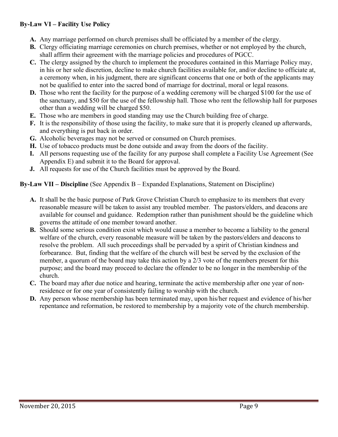# **By-Law VI – Facility Use Policy**

- **A.** Any marriage performed on church premises shall be officiated by a member of the clergy.
- **B.** Clergy officiating marriage ceremonies on church premises, whether or not employed by the church, shall affirm their agreement with the marriage policies and procedures of PGCC.
- **C.** The clergy assigned by the church to implement the procedures contained in this Marriage Policy may, in his or her sole discretion, decline to make church facilities available for, and/or decline to officiate at, a ceremony when, in his judgment, there are significant concerns that one or both of the applicants may not be qualified to enter into the sacred bond of marriage for doctrinal, moral or legal reasons.
- **D.** Those who rent the facility for the purpose of a wedding ceremony will be charged \$100 for the use of the sanctuary, and \$50 for the use of the fellowship hall. Those who rent the fellowship hall for purposes other than a wedding will be charged \$50.
- **E.** Those who are members in good standing may use the Church building free of charge.
- **F.** It is the responsibility of those using the facility, to make sure that it is properly cleaned up afterwards, and everything is put back in order.
- **G.** Alcoholic beverages may not be served or consumed on Church premises.
- **H.** Use of tobacco products must be done outside and away from the doors of the facility.
- **I.** All persons requesting use of the facility for any purpose shall complete a Facility Use Agreement (See Appendix E) and submit it to the Board for approval.
- **J.** All requests for use of the Church facilities must be approved by the Board.

#### **By-Law VII – Discipline** (See Appendix B – Expanded Explanations, Statement on Discipline)

- **A.** It shall be the basic purpose of Park Grove Christian Church to emphasize to its members that every reasonable measure will be taken to assist any troubled member. The pastors/elders, and deacons are available for counsel and guidance. Redemption rather than punishment should be the guideline which governs the attitude of one member toward another.
- **B.** Should some serious condition exist which would cause a member to become a liability to the general welfare of the church, every reasonable measure will be taken by the pastors/elders and deacons to resolve the problem. All such proceedings shall be pervaded by a spirit of Christian kindness and forbearance. But, finding that the welfare of the church will best be served by the exclusion of the member, a quorum of the board may take this action by a 2/3 vote of the members present for this purpose; and the board may proceed to declare the offender to be no longer in the membership of the church.
- **C.** The board may after due notice and hearing, terminate the active membership after one year of nonresidence or for one year of consistently failing to worship with the church.
- **D.** Any person whose membership has been terminated may, upon his/her request and evidence of his/her repentance and reformation, be restored to membership by a majority vote of the church membership.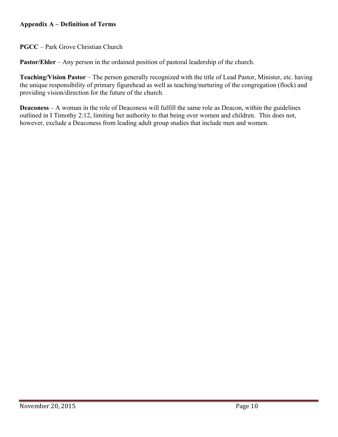# **Appendix A – Definition of Terms**

**PGCC** – Park Grove Christian Church

**Pastor/Elder** – Any person in the ordained position of pastoral leadership of the church.

**Teaching/Vision Pastor** – The person generally recognized with the title of Lead Pastor, Minister, etc. having the unique responsibility of primary figurehead as well as teaching/nurturing of the congregation (flock) and providing vision/direction for the future of the church.

**Deaconess** – A woman in the role of Deaconess will fulfill the same role as Deacon, within the guidelines outlined in I Timothy 2:12, limiting her authority to that being over women and children. This does not, however, exclude a Deaconess from leading adult group studies that include men and women.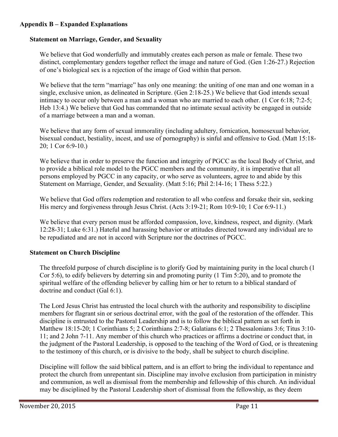# **Appendix B – Expanded Explanations**

## **Statement on Marriage, Gender, and Sexuality**

We believe that God wonderfully and immutably creates each person as male or female. These two distinct, complementary genders together reflect the image and nature of God. (Gen 1:26-27.) Rejection of one's biological sex is a rejection of the image of God within that person.

We believe that the term "marriage" has only one meaning: the uniting of one man and one woman in a single, exclusive union, as delineated in Scripture. (Gen 2:18-25.) We believe that God intends sexual intimacy to occur only between a man and a woman who are married to each other. (1 Cor 6:18; 7:2-5; Heb 13:4.) We believe that God has commanded that no intimate sexual activity be engaged in outside of a marriage between a man and a woman.

We believe that any form of sexual immorality (including adultery, fornication, homosexual behavior, bisexual conduct, bestiality, incest, and use of pornography) is sinful and offensive to God. (Matt 15:18- 20; 1 Cor 6:9-10.)

We believe that in order to preserve the function and integrity of PGCC as the local Body of Christ, and to provide a biblical role model to the PGCC members and the community, it is imperative that all persons employed by PGCC in any capacity, or who serve as volunteers, agree to and abide by this Statement on Marriage, Gender, and Sexuality. (Matt 5:16; Phil 2:14-16; 1 Thess 5:22.)

We believe that God offers redemption and restoration to all who confess and forsake their sin, seeking His mercy and forgiveness through Jesus Christ. (Acts 3:19-21; Rom 10:9-10; 1 Cor 6:9-11.)

We believe that every person must be afforded compassion, love, kindness, respect, and dignity. (Mark 12:28-31; Luke 6:31.) Hateful and harassing behavior or attitudes directed toward any individual are to be repudiated and are not in accord with Scripture nor the doctrines of PGCC.

# **Statement on Church Discipline**

The threefold purpose of church discipline is to glorify God by maintaining purity in the local church (1 Cor 5:6), to edify believers by deterring sin and promoting purity (1 Tim 5:20), and to promote the spiritual welfare of the offending believer by calling him or her to return to a biblical standard of doctrine and conduct (Gal 6:1).

The Lord Jesus Christ has entrusted the local church with the authority and responsibility to discipline members for flagrant sin or serious doctrinal error, with the goal of the restoration of the offender. This discipline is entrusted to the Pastoral Leadership and is to follow the biblical pattern as set forth in Matthew 18:15-20; 1 Corinthians 5; 2 Corinthians 2:7-8; Galatians 6:1; 2 Thessalonians 3:6; Titus 3:10- 11; and 2 John 7-11. Any member of this church who practices or affirms a doctrine or conduct that, in the judgment of the Pastoral Leadership, is opposed to the teaching of the Word of God, or is threatening to the testimony of this church, or is divisive to the body, shall be subject to church discipline.

Discipline will follow the said biblical pattern, and is an effort to bring the individual to repentance and protect the church from unrepentant sin. Discipline may involve exclusion from participation in ministry and communion, as well as dismissal from the membership and fellowship of this church. An individual may be disciplined by the Pastoral Leadership short of dismissal from the fellowship, as they deem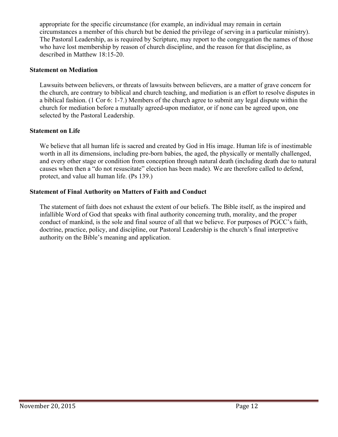appropriate for the specific circumstance (for example, an individual may remain in certain circumstances a member of this church but be denied the privilege of serving in a particular ministry). The Pastoral Leadership, as is required by Scripture, may report to the congregation the names of those who have lost membership by reason of church discipline, and the reason for that discipline, as described in Matthew 18:15-20.

#### **Statement on Mediation**

Lawsuits between believers, or threats of lawsuits between believers, are a matter of grave concern for the church, are contrary to biblical and church teaching, and mediation is an effort to resolve disputes in a biblical fashion. (1 Cor 6: 1-7.) Members of the church agree to submit any legal dispute within the church for mediation before a mutually agreed-upon mediator, or if none can be agreed upon, one selected by the Pastoral Leadership.

#### **Statement on Life**

We believe that all human life is sacred and created by God in His image. Human life is of inestimable worth in all its dimensions, including pre-born babies, the aged, the physically or mentally challenged, and every other stage or condition from conception through natural death (including death due to natural causes when then a "do not resuscitate" election has been made). We are therefore called to defend, protect, and value all human life. (Ps 139.)

#### **Statement of Final Authority on Matters of Faith and Conduct**

The statement of faith does not exhaust the extent of our beliefs. The Bible itself, as the inspired and infallible Word of God that speaks with final authority concerning truth, morality, and the proper conduct of mankind, is the sole and final source of all that we believe. For purposes of PGCC's faith, doctrine, practice, policy, and discipline, our Pastoral Leadership is the church's final interpretive authority on the Bible's meaning and application.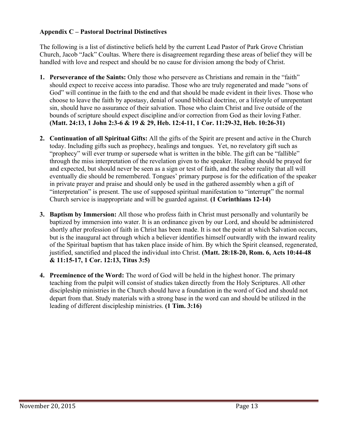# **Appendix C – Pastoral Doctrinal Distinctives**

The following is a list of distinctive beliefs held by the current Lead Pastor of Park Grove Christian Church, Jacob "Jack" Coultas. Where there is disagreement regarding these areas of belief they will be handled with love and respect and should be no cause for division among the body of Christ.

- **1. Perseverance of the Saints:** Only those who persevere as Christians and remain in the "faith" should expect to receive access into paradise. Those who are truly regenerated and made "sons of God" will continue in the faith to the end and that should be made evident in their lives. Those who choose to leave the faith by apostasy, denial of sound biblical doctrine, or a lifestyle of unrepentant sin, should have no assurance of their salvation. Those who claim Christ and live outside of the bounds of scripture should expect discipline and/or correction from God as their loving Father. **(Matt. 24:13, 1 John 2:3-6 & 19 & 29, Heb. 12:4-11, 1 Cor. 11:29-32, Heb. 10:26-31)**
- **2. Continuation of all Spiritual Gifts:** All the gifts of the Spirit are present and active in the Church today. Including gifts such as prophecy, healings and tongues. Yet, no revelatory gift such as "prophecy" will ever trump or supersede what is written in the bible. The gift can be "fallible" through the miss interpretation of the revelation given to the speaker. Healing should be prayed for and expected, but should never be seen as a sign or test of faith, and the sober reality that all will eventually die should be remembered. Tongues' primary purpose is for the edification of the speaker in private prayer and praise and should only be used in the gathered assembly when a gift of "interpretation" is present. The use of supposed spiritual manifestation to "interrupt" the normal Church service is inappropriate and will be guarded against. **(1 Corinthians 12-14)**
- **3. Baptism by Immersion:** All those who profess faith in Christ must personally and voluntarily be baptized by immersion into water. It is an ordinance given by our Lord, and should be administered shortly after profession of faith in Christ has been made. It is not the point at which Salvation occurs, but is the inaugural act through which a believer identifies himself outwardly with the inward reality of the Spiritual baptism that has taken place inside of him. By which the Spirit cleansed, regenerated, justified, sanctified and placed the individual into Christ. **(Matt. 28:18-20, Rom. 6, Acts 10:44-48 & 11:15-17, 1 Cor. 12:13, Titus 3:5)**
- **4. Preeminence of the Word:** The word of God will be held in the highest honor. The primary teaching from the pulpit will consist of studies taken directly from the Holy Scriptures. All other discipleship ministries in the Church should have a foundation in the word of God and should not depart from that. Study materials with a strong base in the word can and should be utilized in the leading of different discipleship ministries. **(1 Tim. 3:16)**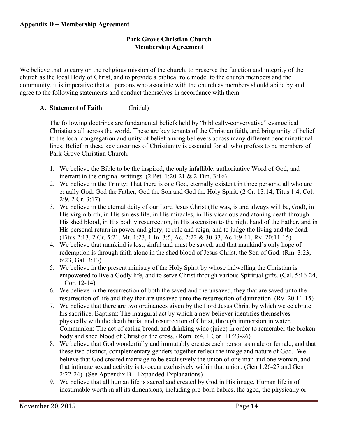# **Park Grove Christian Church Membership Agreement**

We believe that to carry on the religious mission of the church, to preserve the function and integrity of the church as the local Body of Christ, and to provide a biblical role model to the church members and the community, it is imperative that all persons who associate with the church as members should abide by and agree to the following statements and conduct themselves in accordance with them.

# **A. Statement of Faith** \_\_\_\_\_\_\_ (Initial)

The following doctrines are fundamental beliefs held by "biblically-conservative" evangelical Christians all across the world. These are key tenants of the Christian faith, and bring unity of belief to the local congregation and unity of belief among believers across many different denominational lines. Belief in these key doctrines of Christianity is essential for all who profess to be members of Park Grove Christian Church.

- 1. We believe the Bible to be the inspired, the only infallible, authoritative Word of God, and inerrant in the original writings.  $(2$  Pet. 1:20-21 & 2 Tim. 3:16)
- 2. We believe in the Trinity: That there is one God, eternally existent in three persons, all who are equally God, God the Father, God the Son and God the Holy Spirit. (2 Cr. 13:14, Titus 1:4, Col. 2:9, 2 Cr. 3:17)
- 3. We believe in the eternal deity of our Lord Jesus Christ (He was, is and always will be, God), in His virgin birth, in His sinless life, in His miracles, in His vicarious and atoning death through His shed blood, in His bodily resurrection, in His ascension to the right hand of the Father, and in His personal return in power and glory, to rule and reign, and to judge the living and the dead. (Titus 2:13, 2 Cr. 5:21, Mt. 1:23, 1 Jn. 3:5, Ac. 2:22 & 30-33, Ac 1:9-11, Rv. 20:11-15)
- 4. We believe that mankind is lost, sinful and must be saved; and that mankind's only hope of redemption is through faith alone in the shed blood of Jesus Christ, the Son of God. (Rm. 3:23, 6:23, Gal. 3:13)
- 5. We believe in the present ministry of the Holy Spirit by whose indwelling the Christian is empowered to live a Godly life, and to serve Christ through various Spiritual gifts. (Gal. 5:16-24, 1 Cor. 12-14)
- 6. We believe in the resurrection of both the saved and the unsaved, they that are saved unto the resurrection of life and they that are unsaved unto the resurrection of damnation. (Rv. 20:11-15)
- 7. We believe that there are two ordinances given by the Lord Jesus Christ by which we celebrate his sacrifice. Baptism: The inaugural act by which a new believer identifies themselves physically with the death burial and resurrection of Christ, through immersion in water. Communion: The act of eating bread, and drinking wine (juice) in order to remember the broken body and shed blood of Christ on the cross. (Rom. 6:4, 1 Cor. 11:23-26)
- 8. We believe that God wonderfully and immutably creates each person as male or female, and that these two distinct, complementary genders together reflect the image and nature of God. We believe that God created marriage to be exclusively the union of one man and one woman, and that intimate sexual activity is to occur exclusively within that union. (Gen 1:26-27 and Gen 2:22-24) (See Appendix B – Expanded Explanations)
- 9. We believe that all human life is sacred and created by God in His image. Human life is of inestimable worth in all its dimensions, including pre-born babies, the aged, the physically or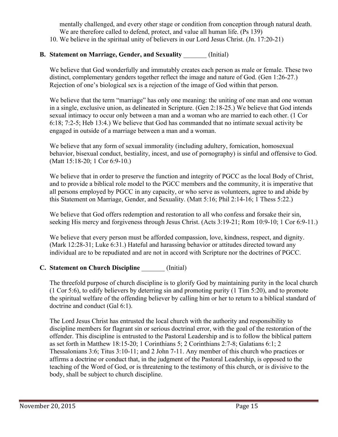mentally challenged, and every other stage or condition from conception through natural death. We are therefore called to defend, protect, and value all human life. (Ps 139)

10. We believe in the spiritual unity of believers in our Lord Jesus Christ. (Jn. 17:20-21)

# **B. Statement on Marriage, Gender, and Sexuality** \_\_\_\_\_\_\_ (Initial)

We believe that God wonderfully and immutably creates each person as male or female. These two distinct, complementary genders together reflect the image and nature of God. (Gen 1:26-27.) Rejection of one's biological sex is a rejection of the image of God within that person.

We believe that the term "marriage" has only one meaning: the uniting of one man and one woman in a single, exclusive union, as delineated in Scripture. (Gen 2:18-25.) We believe that God intends sexual intimacy to occur only between a man and a woman who are married to each other. (1 Cor 6:18; 7:2-5; Heb 13:4.) We believe that God has commanded that no intimate sexual activity be engaged in outside of a marriage between a man and a woman.

We believe that any form of sexual immorality (including adultery, fornication, homosexual behavior, bisexual conduct, bestiality, incest, and use of pornography) is sinful and offensive to God. (Matt 15:18-20; 1 Cor 6:9-10.)

We believe that in order to preserve the function and integrity of PGCC as the local Body of Christ, and to provide a biblical role model to the PGCC members and the community, it is imperative that all persons employed by PGCC in any capacity, or who serve as volunteers, agree to and abide by this Statement on Marriage, Gender, and Sexuality. (Matt 5:16; Phil 2:14-16; 1 Thess 5:22.)

We believe that God offers redemption and restoration to all who confess and forsake their sin, seeking His mercy and forgiveness through Jesus Christ. (Acts 3:19-21; Rom 10:9-10; 1 Cor 6:9-11.)

We believe that every person must be afforded compassion, love, kindness, respect, and dignity. (Mark 12:28-31; Luke 6:31.) Hateful and harassing behavior or attitudes directed toward any individual are to be repudiated and are not in accord with Scripture nor the doctrines of PGCC.

# **C. Statement on Church Discipline** \_\_\_\_\_\_\_ (Initial)

The threefold purpose of church discipline is to glorify God by maintaining purity in the local church (1 Cor 5:6), to edify believers by deterring sin and promoting purity (1 Tim 5:20), and to promote the spiritual welfare of the offending believer by calling him or her to return to a biblical standard of doctrine and conduct (Gal 6:1).

The Lord Jesus Christ has entrusted the local church with the authority and responsibility to discipline members for flagrant sin or serious doctrinal error, with the goal of the restoration of the offender. This discipline is entrusted to the Pastoral Leadership and is to follow the biblical pattern as set forth in Matthew 18:15-20; 1 Corinthians 5; 2 Corinthians 2:7-8; Galatians 6:1; 2 Thessalonians 3:6; Titus 3:10-11; and 2 John 7-11. Any member of this church who practices or affirms a doctrine or conduct that, in the judgment of the Pastoral Leadership, is opposed to the teaching of the Word of God, or is threatening to the testimony of this church, or is divisive to the body, shall be subject to church discipline.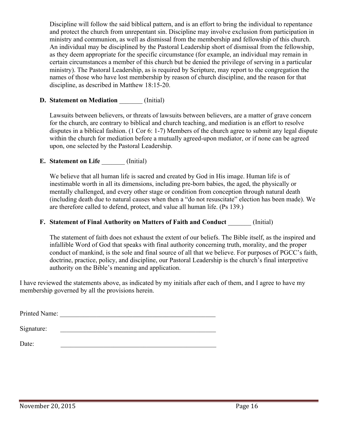Discipline will follow the said biblical pattern, and is an effort to bring the individual to repentance and protect the church from unrepentant sin. Discipline may involve exclusion from participation in ministry and communion, as well as dismissal from the membership and fellowship of this church. An individual may be disciplined by the Pastoral Leadership short of dismissal from the fellowship, as they deem appropriate for the specific circumstance (for example, an individual may remain in certain circumstances a member of this church but be denied the privilege of serving in a particular ministry). The Pastoral Leadership, as is required by Scripture, may report to the congregation the names of those who have lost membership by reason of church discipline, and the reason for that discipline, as described in Matthew 18:15-20.

# **D. Statement on Mediation** (Initial)

Lawsuits between believers, or threats of lawsuits between believers, are a matter of grave concern for the church, are contrary to biblical and church teaching, and mediation is an effort to resolve disputes in a biblical fashion. (1 Cor 6: 1-7) Members of the church agree to submit any legal dispute within the church for mediation before a mutually agreed-upon mediator, or if none can be agreed upon, one selected by the Pastoral Leadership.

# **E. Statement on Life** (Initial)

We believe that all human life is sacred and created by God in His image. Human life is of inestimable worth in all its dimensions, including pre-born babies, the aged, the physically or mentally challenged, and every other stage or condition from conception through natural death (including death due to natural causes when then a "do not resuscitate" election has been made). We are therefore called to defend, protect, and value all human life. (Ps 139.)

#### **F. Statement of Final Authority on Matters of Faith and Conduct** (Initial)

The statement of faith does not exhaust the extent of our beliefs. The Bible itself, as the inspired and infallible Word of God that speaks with final authority concerning truth, morality, and the proper conduct of mankind, is the sole and final source of all that we believe. For purposes of PGCC's faith, doctrine, practice, policy, and discipline, our Pastoral Leadership is the church's final interpretive authority on the Bible's meaning and application.

I have reviewed the statements above, as indicated by my initials after each of them, and I agree to have my membership governed by all the provisions herein.

Printed Name:

Signature:

Date: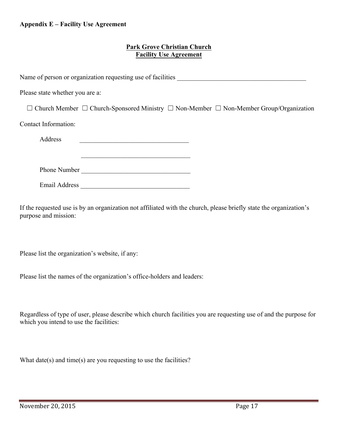#### **Appendix E – Facility Use Agreement**

#### **Park Grove Christian Church Facility Use Agreement**

| Please state whether you are a:                                                                              |
|--------------------------------------------------------------------------------------------------------------|
| $\Box$ Church Member $\Box$ Church-Sponsored Ministry $\Box$ Non-Member $\Box$ Non-Member Group/Organization |
| Contact Information:                                                                                         |
| Address<br>the control of the control of the control of the control of the control of the control of         |
|                                                                                                              |
| Phone Number                                                                                                 |
| Email Address <b>Email</b> Address <b>Email</b> Address <b>Email</b>                                         |

If the requested use is by an organization not affiliated with the church, please briefly state the organization's purpose and mission:

Please list the organization's website, if any:

Please list the names of the organization's office-holders and leaders:

Regardless of type of user, please describe which church facilities you are requesting use of and the purpose for which you intend to use the facilities:

What date(s) and time(s) are you requesting to use the facilities?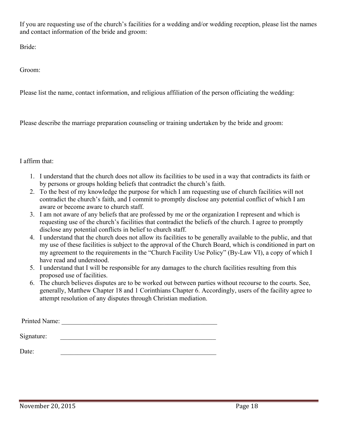If you are requesting use of the church's facilities for a wedding and/or wedding reception, please list the names and contact information of the bride and groom:

Bride:

Groom:

Please list the name, contact information, and religious affiliation of the person officiating the wedding:

Please describe the marriage preparation counseling or training undertaken by the bride and groom:

# I affirm that:

- 1. I understand that the church does not allow its facilities to be used in a way that contradicts its faith or by persons or groups holding beliefs that contradict the church's faith.
- 2. To the best of my knowledge the purpose for which I am requesting use of church facilities will not contradict the church's faith, and I commit to promptly disclose any potential conflict of which I am aware or become aware to church staff.
- 3. I am not aware of any beliefs that are professed by me or the organization I represent and which is requesting use of the church's facilities that contradict the beliefs of the church. I agree to promptly disclose any potential conflicts in belief to church staff.
- 4. I understand that the church does not allow its facilities to be generally available to the public, and that my use of these facilities is subject to the approval of the Church Board, which is conditioned in part on my agreement to the requirements in the "Church Facility Use Policy" (By-Law VI), a copy of which I have read and understood.
- 5. I understand that I will be responsible for any damages to the church facilities resulting from this proposed use of facilities.
- 6. The church believes disputes are to be worked out between parties without recourse to the courts. See, generally, Matthew Chapter 18 and 1 Corinthians Chapter 6. Accordingly, users of the facility agree to attempt resolution of any disputes through Christian mediation.

| Printed Name: |  |
|---------------|--|
| Signature:    |  |
| Date:         |  |